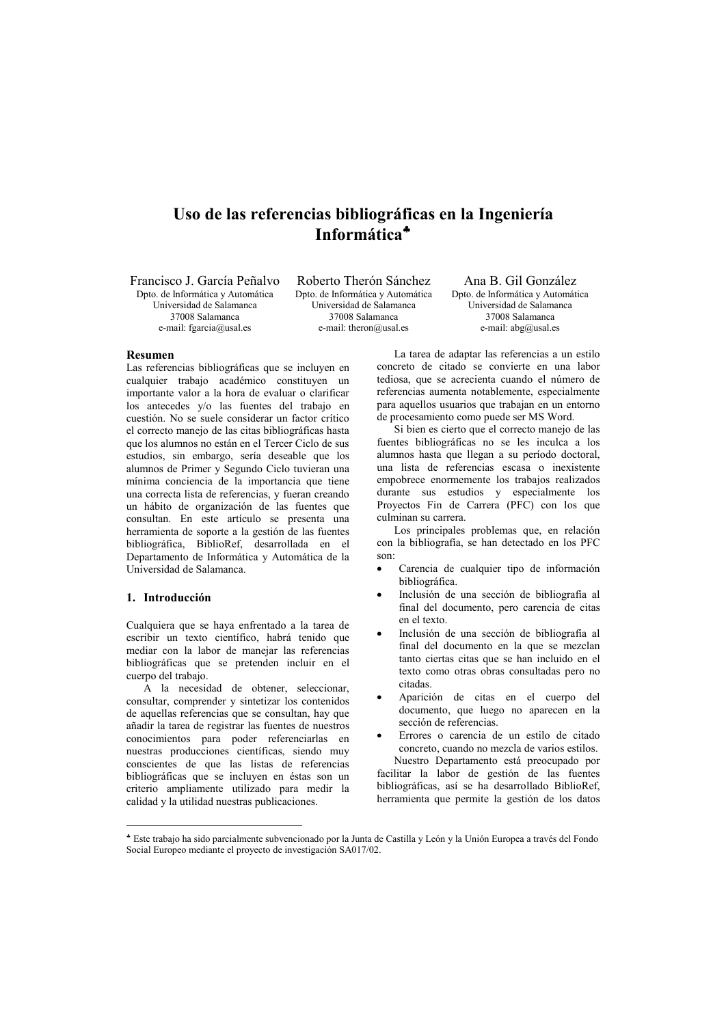# Uso de las referencias bibliográficas en la Ingeniería Informática<sup>\*</sup>

Francisco J. García Peñalvo Doto, de Informática y Automática Universidad de Salamança 37008 Salamanca e-mail: fgarcia@usal.es

Roberto Therón Sánchez Doto, de Informática y Automática Universidad de Salamanca 37008 Salamanca e-mail: theron@usal.es

Ana B Gil González Doto, de Informática y Automática Universidad de Salamanca 37008 Salamanca e-mail: abg@usal.es

# Resumen

Las referencias bibliográficas que se incluyen en cualquier trabajo académico constituyen un importante valor a la hora de evaluar o clarificar los antecedes y/o las fuentes del trabajo en cuestión. No se suele considerar un factor crítico el correcto maneio de las citas bibliográficas hasta que los alumnos no están en el Tercer Ciclo de sus estudios, sin embargo, sería deseable que los alumnos de Primer y Segundo Ciclo tuvieran una mínima conciencia de la importancia que tiene una correcta lista de referencias, y fueran creando un hábito de organización de las fuentes que consultan. En este artículo se presenta una herramienta de soporte a la gestión de las fuentes bibliográfica, BiblioRef, desarrollada en el Departamento de Informática y Automática de la Universidad de Salamanca

# 1. Introducción

Cualquiera que se haya enfrentado a la tarea de escribir un texto científico, habrá tenido que mediar con la labor de manejar las referencias bibliográficas que se pretenden incluir en el cuerpo del trabajo.

A la necesidad de obtener, seleccionar, consultar, comprender y sintetizar los contenidos de aquellas referencias que se consultan, hay que añadir la tarea de registrar las fuentes de nuestros conocimientos para poder referenciarlas en nuestras producciones científicas, siendo muy conscientes de que las listas de referencias bibliográficas que se incluyen en éstas son un criterio ampliamente utilizado para medir la calidad y la utilidad nuestras publicaciones.

La tarea de adaptar las referencias a un estilo concreto de citado se convierte en una labor tediosa, que se acrecienta cuando el número de referencias aumenta notablemente, especialmente para aquellos usuarios que trabajan en un entorno de procesamiento como puede ser MS Word.

Si bien es cierto que el correcto manejo de las fuentes bibliográficas no se les inculca a los alumnos hasta que llegan a su período doctoral, una lista de referencias escasa o inexistente empobrece enormemente los trabajos realizados durante sus estudios y especialmente los Proyectos Fin de Carrera (PFC) con los que culminan su carrera.

Los principales problemas que, en relación con la bibliografía, se han detectado en los PFC  $son$ 

- Carencia de cualquier tipo de información bibliográfica.
- Inclusión de una sección de bibliografía al final del documento, pero carencia de citas en el texto
- Inclusión de una sección de bibliografía al final del documento en la que se mezclan tanto ciertas citas que se han incluido en el texto como otras obras consultadas pero no citadas
- Aparición de citas en el cuerpo del documento, que luego no aparecen en la sección de referencias

Errores o carencia de un estilo de citado concreto, cuando no mezcla de varios estilos. Nuestro Departamento está preocupado por facilitar la labor de gestión de las fuentes bibliográficas, así se ha desarrollado BiblioRef. herramienta que permite la gestión de los datos

<sup>\*</sup> Este trabajo ha sido parcialmente subvencionado por la Junta de Castilla y León y la Unión Europea a través del Fondo Social Europeo mediante el proyecto de investigación SA017/02.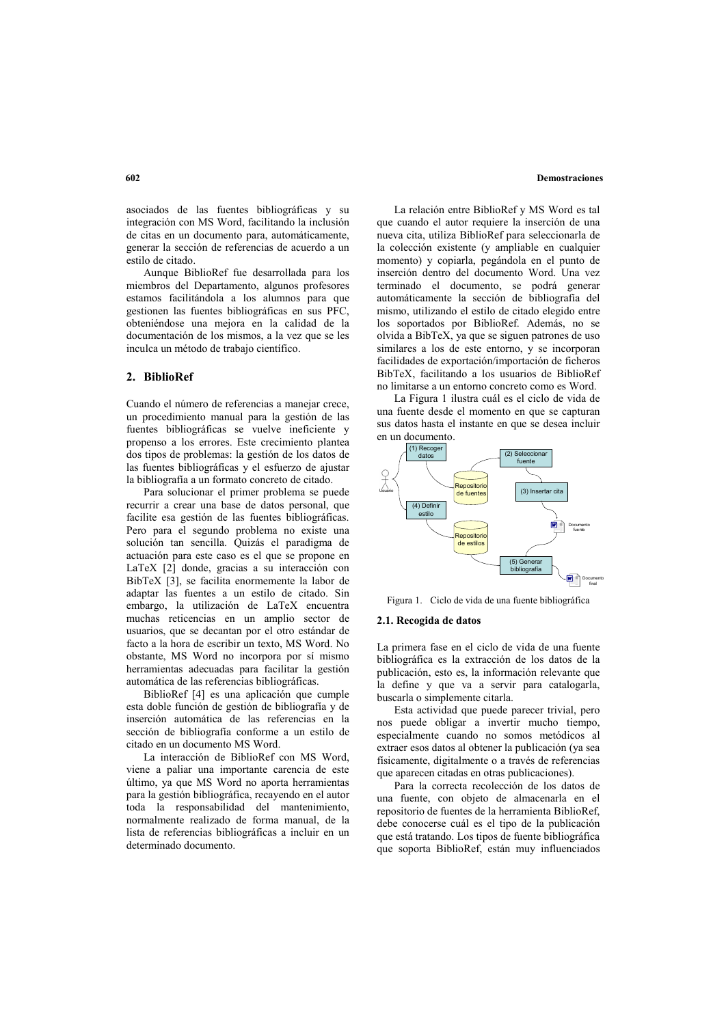#### **Demostraciones**

asociados de las fuentes bibliográficas y su integración con MS Word, facilitando la inclusión de citas en un documento para, automáticamente. generar la sección de referencias de acuerdo a un estilo de citado.

Aunque BiblioRef fue desarrollada para los miembros del Departamento, algunos profesores estamos facilitándola a los alumnos para que gestionen las fuentes bibliográficas en sus PFC. obteniéndose una mejora en la calidad de la documentación de los mismos, a la vez que se les inculca un método de trabajo científico.

# 2. BiblioRef

Cuando el número de referencias a maneiar crece. un procedimiento manual para la gestión de las fuentes bibliográficas se vuelve ineficiente y propenso a los errores. Este crecimiento plantea dos tipos de problemas: la gestión de los datos de las fuentes bibliográficas y el esfuerzo de ajustar la bibliografía a un formato concreto de citado.

Para solucionar el primer problema se puede recurrir a crear una base de datos personal, que facilite esa gestión de las fuentes bibliográficas. Pero para el segundo problema no existe una solución tan sencilla. Quizás el paradigma de actuación para este caso es el que se propone en LaTeX [2] donde, gracias a su interacción con BibTeX [3], se facilita enormemente la labor de adaptar las fuentes a un estilo de citado. Sin embargo, la utilización de LaTeX encuentra muchas reticencias en un amplio sector de usuarios, que se decantan por el otro estándar de facto a la hora de escribir un texto, MS Word. No obstante, MS Word no incorpora por sí mismo herramientas adecuadas para facilitar la gestión automática de las referencias bibliográficas.

BiblioRef [4] es una aplicación que cumple esta doble función de gestión de bibliografía y de inserción automática de las referencias en la sección de bibliografía conforme a un estilo de citado en un documento MS Word.

La interacción de BiblioRef con MS Word, viene a paliar una importante carencia de este último, va que MS Word no aporta herramientas para la gestión bibliográfica, recavendo en el autor toda la responsabilidad del mantenimiento, normalmente realizado de forma manual, de la lista de referencias bibliográficas a incluir en un determinado documento

La relación entre BiblioRef y MS Word es tal que cuando el autor requiere la inserción de una nueva cita, utiliza BiblioRef para seleccionarla de la colección existente (y ampliable en cualquier momento) y copiarla, pegándola en el punto de inserción dentro del documento Word. Una vez terminado el documento, se podrá generar automáticamente la sección de bibliografía del mismo, utilizando el estilo de citado elegido entre los soportados por BiblioRef. Además, no se olvida a BibTeX, ya que se siguen patrones de uso similares a los de este entorno, y se incorporan facilidades de exportación/importación de ficheros BibTeX, facilitando a los usuarios de BiblioRef no limitarse a un entorno concreto como es Word.

La Figura 1 ilustra cuál es el ciclo de vida de una fuente desde el momento en que se capturan sus datos hasta el instante en que se desea incluir en un documento.



Figura 1. Ciclo de vida de una fuente bibliográfica

# 2.1. Recogida de datos

La primera fase en el ciclo de vida de una fuente bibliográfica es la extracción de los datos de la publicación, esto es, la información relevante que la define y que va a servir para catalogarla, buscarla o simplemente citarla.

Esta actividad que puede parecer trivial, pero nos puede obligar a invertir mucho tiempo, especialmente cuando no somos metódicos al extraer esos datos al obtener la publicación (ya sea físicamente, digitalmente o a través de referencias que aparecen citadas en otras publicaciones).

Para la correcta recolección de los datos de una fuente, con objeto de almacenarla en el repositorio de fuentes de la herramienta BiblioRef, debe conocerse cuál es el tipo de la publicación que está tratando. Los tipos de fuente bibliográfica que soporta BiblioRef, están muy influenciados

#### 602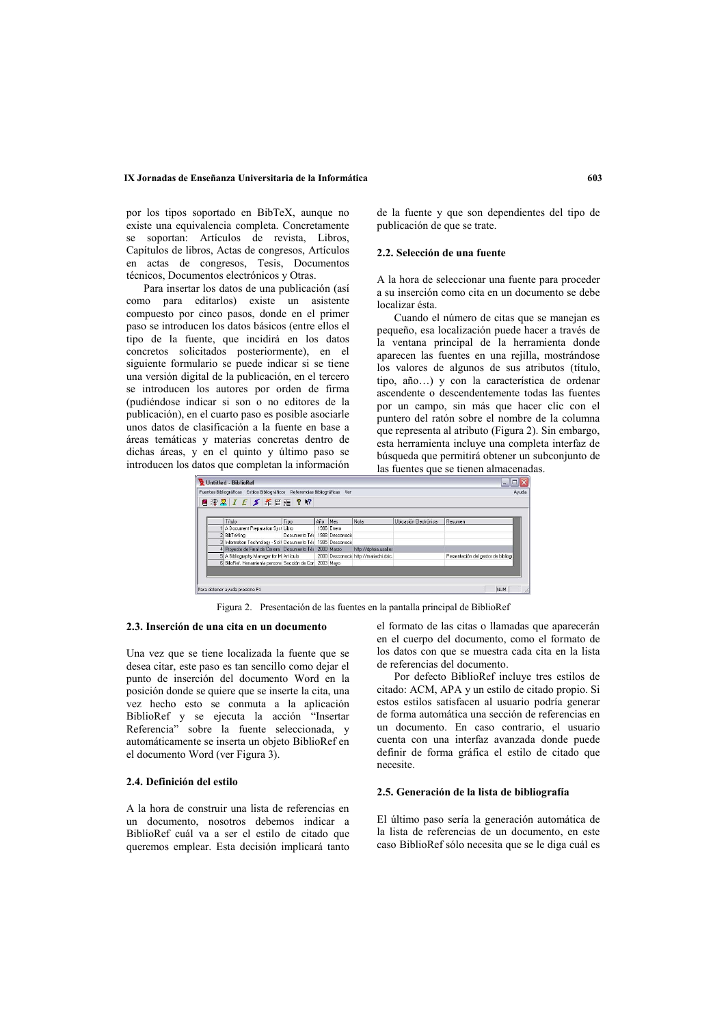# IX Jornadas de Enseñanza Universitaria de la Informática

por los tipos soportado en BibTeX, aunque no existe una equivalencia completa. Concretamente se soportan: Artículos de revista, Libros, Capítulos de libros, Actas de congresos, Artículos en actas de congresos, Tesis, Documentos técnicos, Documentos electrónicos y Otras.

Para insertar los datos de una publicación (así como para editarlos) existe un asistente compuesto por cinco pasos, donde en el primer paso se introducen los datos básicos (entre ellos el tipo de la fuente, que incidirá en los datos concretos solicitados posteriormente), en el siguiente formulario se puede indicar si se tiene una versión digital de la publicación, en el tercero se introducen los autores por orden de firma (pudiéndose indicar si son o no editores de la publicación), en el cuarto paso es posible asociarle unos datos de clasificación a la fuente en base a áreas temáticas y materias concretas dentro de dichas áreas, y en el quinto y último paso se introducen los datos que completan la información

de la fuente y que son dependientes del tipo de publicación de que se trate.

### 2.2. Selección de una fuente

A la hora de seleccionar una fuente para proceder a su inserción como cita en un documento se debe localizar ésta

Cuando el número de citas que se manejan es pequeño, esa localización puede hacer a través de la ventana principal de la herramienta donde aparecen las fuentes en una rejilla, mostrándose los valores de algunos de sus atributos (título, tipo, año...) y con la característica de ordenar ascendente o descendentemente todas las fuentes por un campo, sin más que hacer clic con el puntero del ratón sobre el nombre de la columna que representa al atributo (Figura 2). Sin embargo. esta herramienta incluye una completa interfaz de búsqueda que permitirá obtener un subconjunto de las fuentes que se tienen almacenadas.



Figura 2. Presentación de las fuentes en la pantalla principal de BiblioRef

# 2.3. Inserción de una cita en un documento

Una vez que se tiene localizada la fuente que se desea citar, este paso es tan sencillo como dejar el punto de inserción del documento Word en la posición donde se quiere que se inserte la cita, una vez hecho esto se conmuta a la aplicación BiblioRef y se ejecuta la acción "Insertar<br>Referencia" sobre la fuente seleccionada, y automáticamente se inserta un objeto BiblioRef en el documento Word (ver Figura 3).

# 2.4. Definición del estilo

A la hora de construir una lista de referencias en un documento, nosotros debemos indicar a BiblioRef cuál va a ser el estilo de citado que queremos emplear. Esta decisión implicará tanto

el formato de las citas o llamadas que aparecerán en el cuerpo del documento, como el formato de los datos con que se muestra cada cita en la lista de referencias del documento.

Por defecto BiblioRef incluve tres estilos de citado: ACM, APA y un estilo de citado propio. Si estos estilos satisfacen al usuario podría generar de forma automática una sección de referencias en un documento. En caso contrario, el usuario cuenta con una interfaz avanzada donde puede definir de forma gráfica el estilo de citado que necesite.

#### 2.5. Generación de la lista de bibliografía

El último paso sería la generación automática de la lista de referencias de un documento, en este caso BiblioRef sólo necesita que se le diga cuál es